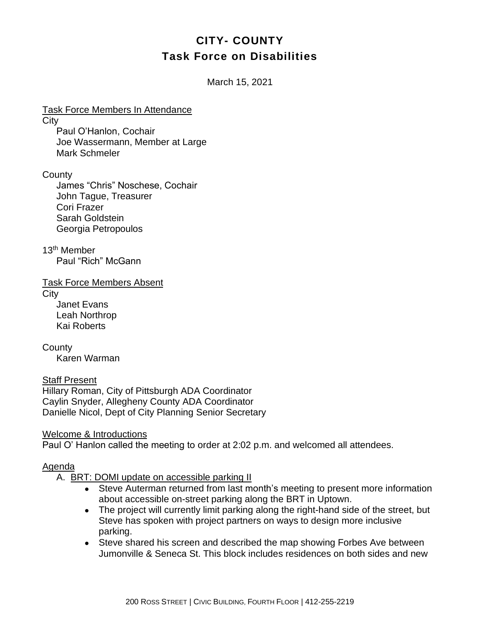## **CITY- COUNTY Task Force on Disabilities**

March 15, 2021

Task Force Members In Attendance **City** Paul O'Hanlon, Cochair Joe Wassermann, Member at Large Mark Schmeler

**County** 

James "Chris" Noschese, Cochair John Tague, Treasurer Cori Frazer Sarah Goldstein Georgia Petropoulos

13th Member Paul "Rich" McGann

Task Force Members Absent

**City** 

Janet Evans Leah Northrop Kai Roberts

**County** Karen Warman

Staff Present Hillary Roman, City of Pittsburgh ADA Coordinator Caylin Snyder, Allegheny County ADA Coordinator Danielle Nicol, Dept of City Planning Senior Secretary

Welcome & Introductions

Paul O' Hanlon called the meeting to order at 2:02 p.m. and welcomed all attendees.

## Agenda

- A. BRT: DOMI update on accessible parking II
	- Steve Auterman returned from last month's meeting to present more information about accessible on-street parking along the BRT in Uptown.
	- The project will currently limit parking along the right-hand side of the street, but Steve has spoken with project partners on ways to design more inclusive parking.
	- Steve shared his screen and described the map showing Forbes Ave between Jumonville & Seneca St. This block includes residences on both sides and new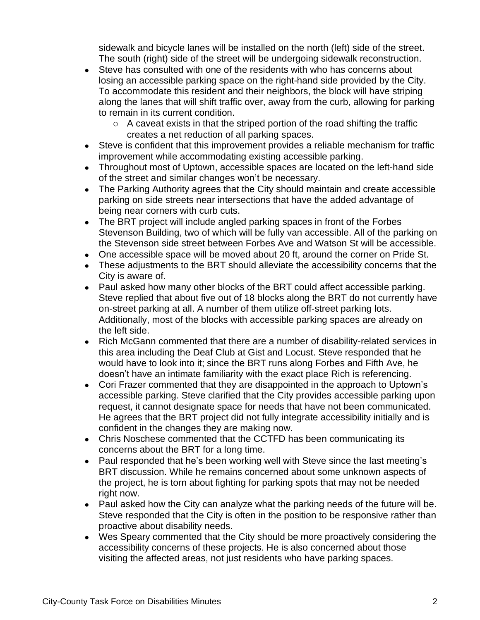sidewalk and bicycle lanes will be installed on the north (left) side of the street. The south (right) side of the street will be undergoing sidewalk reconstruction.

- Steve has consulted with one of the residents with who has concerns about losing an accessible parking space on the right-hand side provided by the City. To accommodate this resident and their neighbors, the block will have striping along the lanes that will shift traffic over, away from the curb, allowing for parking to remain in its current condition.
	- $\circ$  A caveat exists in that the striped portion of the road shifting the traffic creates a net reduction of all parking spaces.
- Steve is confident that this improvement provides a reliable mechanism for traffic improvement while accommodating existing accessible parking.
- Throughout most of Uptown, accessible spaces are located on the left-hand side of the street and similar changes won't be necessary.
- The Parking Authority agrees that the City should maintain and create accessible parking on side streets near intersections that have the added advantage of being near corners with curb cuts.
- The BRT project will include angled parking spaces in front of the Forbes Stevenson Building, two of which will be fully van accessible. All of the parking on the Stevenson side street between Forbes Ave and Watson St will be accessible.
- One accessible space will be moved about 20 ft, around the corner on Pride St.
- These adjustments to the BRT should alleviate the accessibility concerns that the City is aware of.
- Paul asked how many other blocks of the BRT could affect accessible parking. Steve replied that about five out of 18 blocks along the BRT do not currently have on-street parking at all. A number of them utilize off-street parking lots. Additionally, most of the blocks with accessible parking spaces are already on the left side.
- Rich McGann commented that there are a number of disability-related services in this area including the Deaf Club at Gist and Locust. Steve responded that he would have to look into it; since the BRT runs along Forbes and Fifth Ave, he doesn't have an intimate familiarity with the exact place Rich is referencing.
- Cori Frazer commented that they are disappointed in the approach to Uptown's accessible parking. Steve clarified that the City provides accessible parking upon request, it cannot designate space for needs that have not been communicated. He agrees that the BRT project did not fully integrate accessibility initially and is confident in the changes they are making now.
- Chris Noschese commented that the CCTFD has been communicating its concerns about the BRT for a long time.
- Paul responded that he's been working well with Steve since the last meeting's BRT discussion. While he remains concerned about some unknown aspects of the project, he is torn about fighting for parking spots that may not be needed right now.
- Paul asked how the City can analyze what the parking needs of the future will be. Steve responded that the City is often in the position to be responsive rather than proactive about disability needs.
- Wes Speary commented that the City should be more proactively considering the accessibility concerns of these projects. He is also concerned about those visiting the affected areas, not just residents who have parking spaces.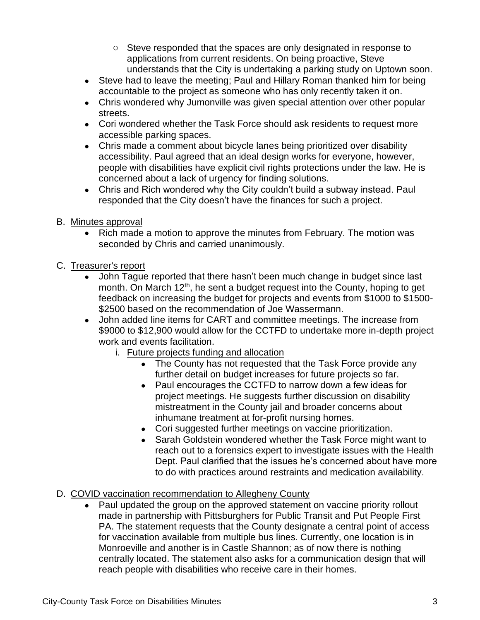- $\circ$  Steve responded that the spaces are only designated in response to applications from current residents. On being proactive, Steve understands that the City is undertaking a parking study on Uptown soon.
- Steve had to leave the meeting; Paul and Hillary Roman thanked him for being accountable to the project as someone who has only recently taken it on.
- Chris wondered why Jumonville was given special attention over other popular streets.
- Cori wondered whether the Task Force should ask residents to request more accessible parking spaces.
- Chris made a comment about bicycle lanes being prioritized over disability accessibility. Paul agreed that an ideal design works for everyone, however, people with disabilities have explicit civil rights protections under the law. He is concerned about a lack of urgency for finding solutions.
- Chris and Rich wondered why the City couldn't build a subway instead. Paul responded that the City doesn't have the finances for such a project.
- B. Minutes approval
	- Rich made a motion to approve the minutes from February. The motion was seconded by Chris and carried unanimously.
- C. Treasurer's report
	- John Tague reported that there hasn't been much change in budget since last month. On March 12<sup>th</sup>, he sent a budget request into the County, hoping to get feedback on increasing the budget for projects and events from \$1000 to \$1500- \$2500 based on the recommendation of Joe Wassermann.
	- John added line items for CART and committee meetings. The increase from \$9000 to \$12,900 would allow for the CCTFD to undertake more in-depth project work and events facilitation.
		- i. Future projects funding and allocation
			- The County has not requested that the Task Force provide any further detail on budget increases for future projects so far.
			- Paul encourages the CCTFD to narrow down a few ideas for project meetings. He suggests further discussion on disability mistreatment in the County jail and broader concerns about inhumane treatment at for-profit nursing homes.
			- Cori suggested further meetings on vaccine prioritization.
			- Sarah Goldstein wondered whether the Task Force might want to reach out to a forensics expert to investigate issues with the Health Dept. Paul clarified that the issues he's concerned about have more to do with practices around restraints and medication availability.

## D. COVID vaccination recommendation to Allegheny County

• Paul updated the group on the approved statement on vaccine priority rollout made in partnership with Pittsburghers for Public Transit and Put People First PA. The statement requests that the County designate a central point of access for vaccination available from multiple bus lines. Currently, one location is in Monroeville and another is in Castle Shannon; as of now there is nothing centrally located. The statement also asks for a communication design that will reach people with disabilities who receive care in their homes.